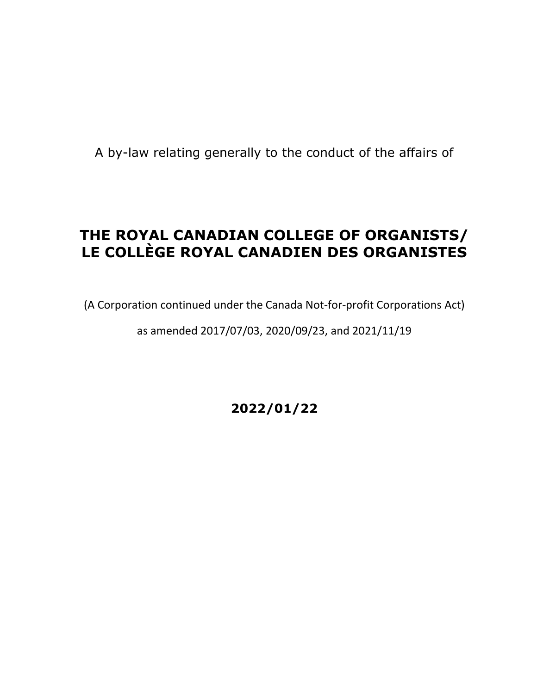A by-law relating generally to the conduct of the affairs of

# **THE ROYAL CANADIAN COLLEGE OF ORGANISTS/ LE COLLÈGE ROYAL CANADIEN DES ORGANISTES**

(A Corporation continued under the Canada Not-for-profit Corporations Act)

as amended 2017/07/03, 2020/09/23, and 2021/11/19

**2022/01/22**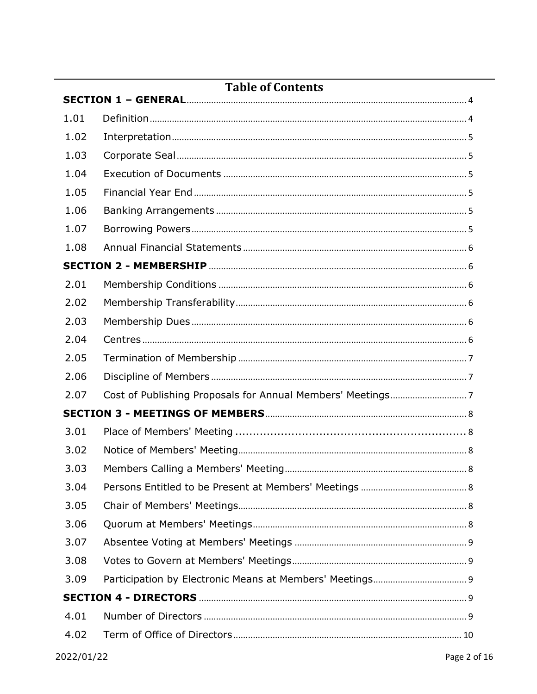| Table of Contents |  |  |  |
|-------------------|--|--|--|
| 1.01              |  |  |  |
| 1.02              |  |  |  |
| 1.03              |  |  |  |
| 1.04              |  |  |  |
| 1.05              |  |  |  |
| 1.06              |  |  |  |
| 1.07              |  |  |  |
| 1.08              |  |  |  |
|                   |  |  |  |
| 2.01              |  |  |  |
| 2.02              |  |  |  |
| 2.03              |  |  |  |
| 2.04              |  |  |  |
| 2.05              |  |  |  |
| 2.06              |  |  |  |
| 2.07              |  |  |  |
|                   |  |  |  |
| 3.01              |  |  |  |
| 3.02              |  |  |  |
| 3.03              |  |  |  |
| 3.04              |  |  |  |
| 3.05              |  |  |  |
| 3.06              |  |  |  |
| 3.07              |  |  |  |
| 3.08              |  |  |  |
| 3.09              |  |  |  |
|                   |  |  |  |
| 4.01              |  |  |  |
| 4.02              |  |  |  |
|                   |  |  |  |

## Table of Contents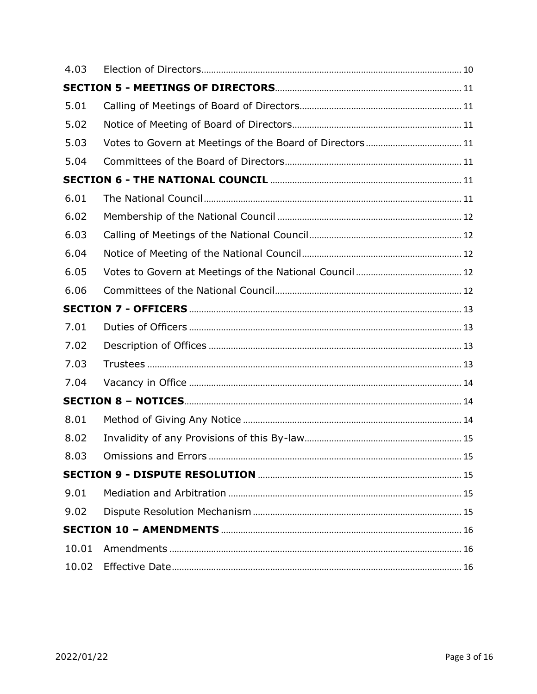| 4.03  |  |
|-------|--|
|       |  |
| 5.01  |  |
| 5.02  |  |
| 5.03  |  |
| 5.04  |  |
|       |  |
| 6.01  |  |
| 6.02  |  |
| 6.03  |  |
| 6.04  |  |
| 6.05  |  |
| 6.06  |  |
|       |  |
| 7.01  |  |
| 7.02  |  |
| 7.03  |  |
| 7.04  |  |
|       |  |
| 8.01  |  |
| 8.02  |  |
| 8.03  |  |
|       |  |
| 9.01  |  |
| 9.02  |  |
|       |  |
| 10.01 |  |
| 10.02 |  |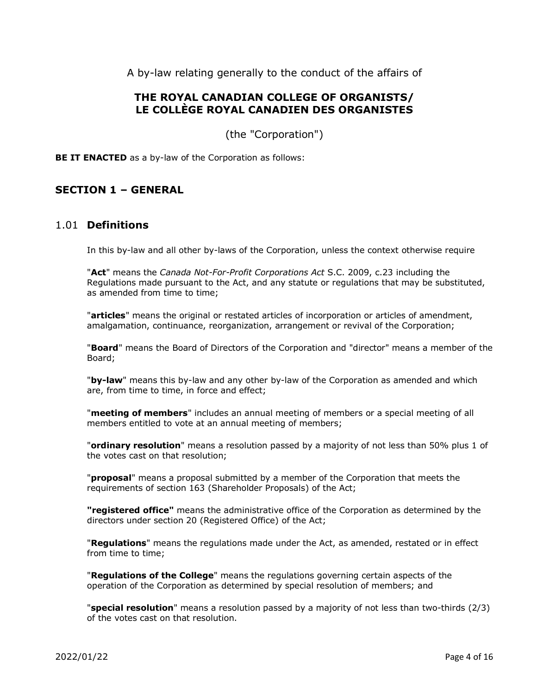A by-law relating generally to the conduct of the affairs of

## **THE ROYAL CANADIAN COLLEGE OF ORGANISTS/ LE COLLÈGE ROYAL CANADIEN DES ORGANISTES**

(the "Corporation")

**BE IT ENACTED** as a by-law of the Corporation as follows:

## <span id="page-3-1"></span><span id="page-3-0"></span>**SECTION 1 – GENERAL**

#### 1.01 **Definitions**

In this by-law and all other by-laws of the Corporation, unless the context otherwise require

"**Act**" means the *Canada Not-For-Profit Corporations Act* S.C. 2009, c.23 including the Regulations made pursuant to the Act, and any statute or regulations that may be substituted, as amended from time to time;

"**articles**" means the original or restated articles of incorporation or articles of amendment, amalgamation, continuance, reorganization, arrangement or revival of the Corporation;

"**Board**" means the Board of Directors of the Corporation and "director" means a member of the Board;

"**by-law**" means this by-law and any other by-law of the Corporation as amended and which are, from time to time, in force and effect;

"**meeting of members**" includes an annual meeting of members or a special meeting of all members entitled to vote at an annual meeting of members;

"**ordinary resolution**" means a resolution passed by a majority of not less than 50% plus 1 of the votes cast on that resolution;

"**proposal**" means a proposal submitted by a member of the Corporation that meets the requirements of section 163 (Shareholder Proposals) of the Act;

**"registered office"** means the administrative office of the Corporation as determined by the directors under section 20 (Registered Office) of the Act;

"**Regulations**" means the regulations made under the Act, as amended, restated or in effect from time to time;

"**Regulations of the College**" means the regulations governing certain aspects of the operation of the Corporation as determined by special resolution of members; and

"**special resolution**" means a resolution passed by a majority of not less than two-thirds (2/3) of the votes cast on that resolution.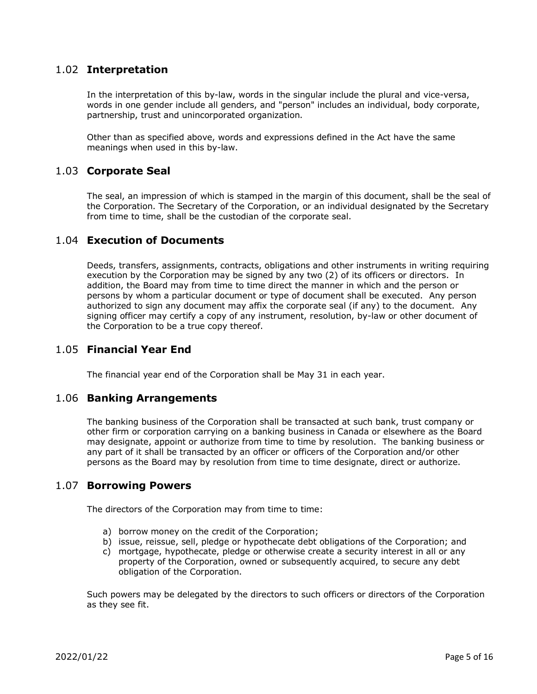#### <span id="page-4-0"></span>1.02 **Interpretation**

In the interpretation of this by-law, words in the singular include the plural and vice-versa, words in one gender include all genders, and "person" includes an individual, body corporate, partnership, trust and unincorporated organization.

Other than as specified above, words and expressions defined in the Act have the same meanings when used in this by-law.

#### <span id="page-4-1"></span>1.03 **Corporate Seal**

The seal, an impression of which is stamped in the margin of this document, shall be the seal of the Corporation. The Secretary of the Corporation, or an individual designated by the Secretary from time to time, shall be the custodian of the corporate seal.

#### <span id="page-4-2"></span>1.04 **Execution of Documents**

Deeds, transfers, assignments, contracts, obligations and other instruments in writing requiring execution by the Corporation may be signed by any two (2) of its officers or directors. In addition, the Board may from time to time direct the manner in which and the person or persons by whom a particular document or type of document shall be executed. Any person authorized to sign any document may affix the corporate seal (if any) to the document. Any signing officer may certify a copy of any instrument, resolution, by-law or other document of the Corporation to be a true copy thereof.

#### <span id="page-4-3"></span>1.05 **Financial Year End**

The financial year end of the Corporation shall be May 31 in each year.

#### <span id="page-4-4"></span>1.06 **Banking Arrangements**

The banking business of the Corporation shall be transacted at such bank, trust company or other firm or corporation carrying on a banking business in Canada or elsewhere as the Board may designate, appoint or authorize from time to time by resolution. The banking business or any part of it shall be transacted by an officer or officers of the Corporation and/or other persons as the Board may by resolution from time to time designate, direct or authorize.

#### <span id="page-4-5"></span>1.07 **Borrowing Powers**

The directors of the Corporation may from time to time:

- a) borrow money on the credit of the Corporation;
- b) issue, reissue, sell, pledge or hypothecate debt obligations of the Corporation; and
- c) mortgage, hypothecate, pledge or otherwise create a security interest in all or any property of the Corporation, owned or subsequently acquired, to secure any debt obligation of the Corporation.

Such powers may be delegated by the directors to such officers or directors of the Corporation as they see fit.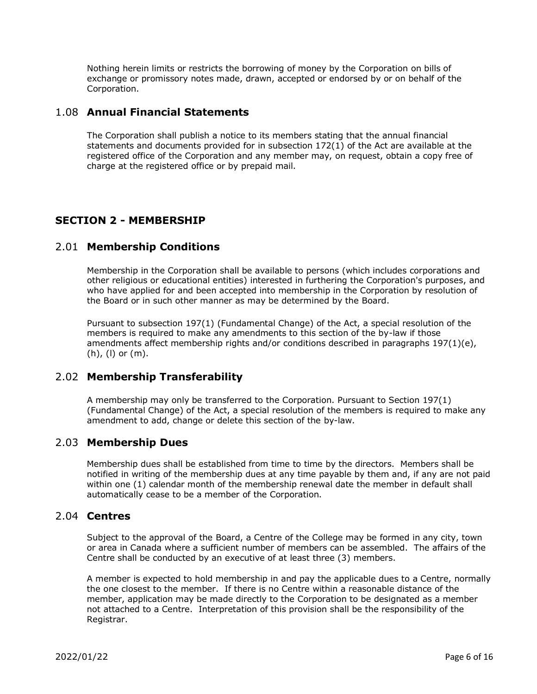Nothing herein limits or restricts the borrowing of money by the Corporation on bills of exchange or promissory notes made, drawn, accepted or endorsed by or on behalf of the Corporation.

## <span id="page-5-0"></span>1.08 **Annual Financial Statements**

The Corporation shall publish a notice to its members stating that the annual financial statements and documents provided for in subsection 172(1) of the Act are available at the registered office of the Corporation and any member may, on request, obtain a copy free of charge at the registered office or by prepaid mail.

## <span id="page-5-1"></span>**SECTION 2 - MEMBERSHIP**

#### <span id="page-5-2"></span>2.01 **Membership Conditions**

Membership in the Corporation shall be available to persons (which includes corporations and other religious or educational entities) interested in furthering the Corporation's purposes, and who have applied for and been accepted into membership in the Corporation by resolution of the Board or in such other manner as may be determined by the Board.

Pursuant to subsection 197(1) (Fundamental Change) of the Act, a special resolution of the members is required to make any amendments to this section of the by-law if those amendments affect membership rights and/or conditions described in paragraphs  $197(1)(e)$ , (h), (l) or (m).

## <span id="page-5-3"></span>2.02 **Membership Transferability**

A membership may only be transferred to the Corporation. Pursuant to Section 197(1) (Fundamental Change) of the Act, a special resolution of the members is required to make any amendment to add, change or delete this section of the by-law.

## <span id="page-5-4"></span>2.03 **Membership Dues**

Membership dues shall be established from time to time by the directors. Members shall be notified in writing of the membership dues at any time payable by them and, if any are not paid within one (1) calendar month of the membership renewal date the member in default shall automatically cease to be a member of the Corporation.

#### <span id="page-5-5"></span>2.04 **Centres**

Subject to the approval of the Board, a Centre of the College may be formed in any city, town or area in Canada where a sufficient number of members can be assembled. The affairs of the Centre shall be conducted by an executive of at least three (3) members.

A member is expected to hold membership in and pay the applicable dues to a Centre, normally the one closest to the member. If there is no Centre within a reasonable distance of the member, application may be made directly to the Corporation to be designated as a member not attached to a Centre. Interpretation of this provision shall be the responsibility of the Registrar.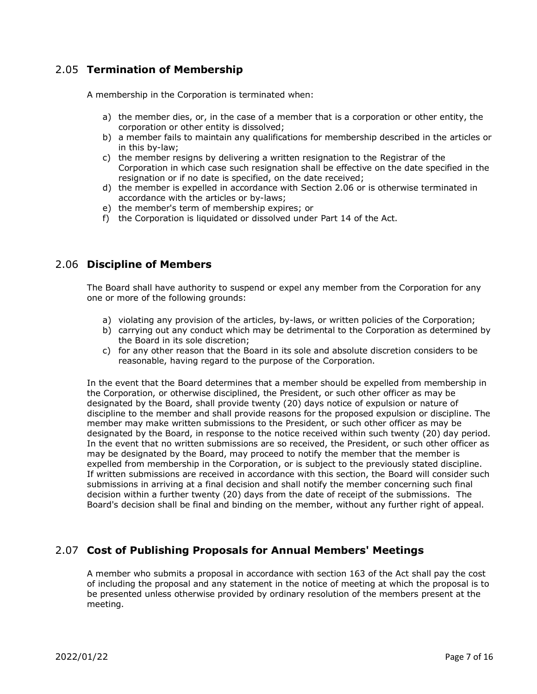## <span id="page-6-0"></span>2.05 **Termination of Membership**

A membership in the Corporation is terminated when:

- a) the member dies, or, in the case of a member that is a corporation or other entity, the corporation or other entity is dissolved;
- b) a member fails to maintain any qualifications for membership described in the articles or in this by-law;
- c) the member resigns by delivering a written resignation to the Registrar of the Corporation in which case such resignation shall be effective on the date specified in the resignation or if no date is specified, on the date received;
- d) the member is expelled in accordance with Section 2.06 or is otherwise terminated in accordance with the articles or by-laws;
- e) the member's term of membership expires; or
- f) the Corporation is liquidated or dissolved under Part 14 of the Act.

## <span id="page-6-1"></span>2.06 **Discipline of Members**

The Board shall have authority to suspend or expel any member from the Corporation for any one or more of the following grounds:

- a) violating any provision of the articles, by-laws, or written policies of the Corporation;
- b) carrying out any conduct which may be detrimental to the Corporation as determined by the Board in its sole discretion;
- c) for any other reason that the Board in its sole and absolute discretion considers to be reasonable, having regard to the purpose of the Corporation.

In the event that the Board determines that a member should be expelled from membership in the Corporation, or otherwise disciplined, the President, or such other officer as may be designated by the Board, shall provide twenty (20) days notice of expulsion or nature of discipline to the member and shall provide reasons for the proposed expulsion or discipline. The member may make written submissions to the President, or such other officer as may be designated by the Board, in response to the notice received within such twenty (20) day period. In the event that no written submissions are so received, the President, or such other officer as may be designated by the Board, may proceed to notify the member that the member is expelled from membership in the Corporation, or is subject to the previously stated discipline. If written submissions are received in accordance with this section, the Board will consider such submissions in arriving at a final decision and shall notify the member concerning such final decision within a further twenty (20) days from the date of receipt of the submissions. The Board's decision shall be final and binding on the member, without any further right of appeal.

## <span id="page-6-2"></span>2.07 **Cost of Publishing Proposals for Annual Members' Meetings**

A member who submits a proposal in accordance with section 163 of the Act shall pay the cost of including the proposal and any statement in the notice of meeting at which the proposal is to be presented unless otherwise provided by ordinary resolution of the members present at the meeting.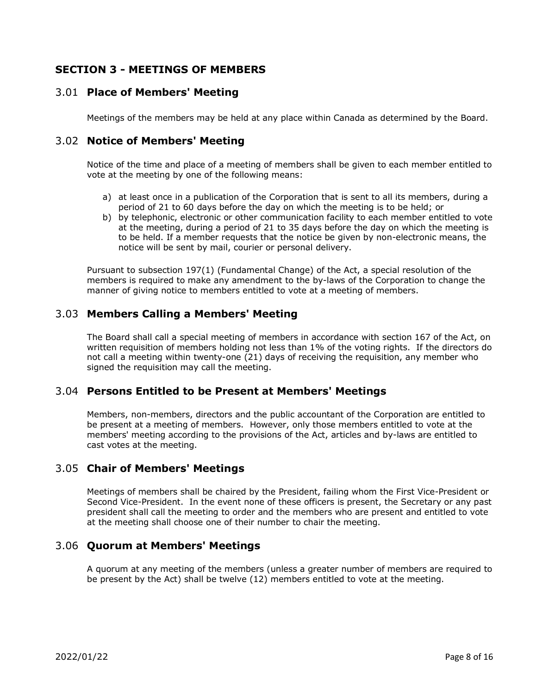## <span id="page-7-0"></span>**SECTION 3 - MEETINGS OF MEMBERS**

#### <span id="page-7-1"></span>3.01 **Place of Members' Meeting**

Meetings of the members may be held at any place within Canada as determined by the Board.

#### <span id="page-7-2"></span>3.02 **Notice of Members' Meeting**

Notice of the time and place of a meeting of members shall be given to each member entitled to vote at the meeting by one of the following means:

- a) at least once in a publication of the Corporation that is sent to all its members, during a period of 21 to 60 days before the day on which the meeting is to be held; or
- b) by telephonic, electronic or other communication facility to each member entitled to vote at the meeting, during a period of 21 to 35 days before the day on which the meeting is to be held. If a member requests that the notice be given by non-electronic means, the notice will be sent by mail, courier or personal delivery.

Pursuant to subsection 197(1) (Fundamental Change) of the Act, a special resolution of the members is required to make any amendment to the by-laws of the Corporation to change the manner of giving notice to members entitled to vote at a meeting of members.

## <span id="page-7-3"></span>3.03 **Members Calling a Members' Meeting**

The Board shall call a special meeting of members in accordance with section 167 of the Act, on written requisition of members holding not less than 1% of the voting rights. If the directors do not call a meeting within twenty-one (21) days of receiving the requisition, any member who signed the requisition may call the meeting.

#### <span id="page-7-4"></span>3.04 **Persons Entitled to be Present at Members' Meetings**

Members, non-members, directors and the public accountant of the Corporation are entitled to be present at a meeting of members. However, only those members entitled to vote at the members' meeting according to the provisions of the Act, articles and by-laws are entitled to cast votes at the meeting.

#### <span id="page-7-5"></span>3.05 **Chair of Members' Meetings**

Meetings of members shall be chaired by the President, failing whom the First Vice-President or Second Vice-President. In the event none of these officers is present, the Secretary or any past president shall call the meeting to order and the members who are present and entitled to vote at the meeting shall choose one of their number to chair the meeting.

#### <span id="page-7-6"></span>3.06 **Quorum at Members' Meetings**

A quorum at any meeting of the members (unless a greater number of members are required to be present by the Act) shall be twelve (12) members entitled to vote at the meeting.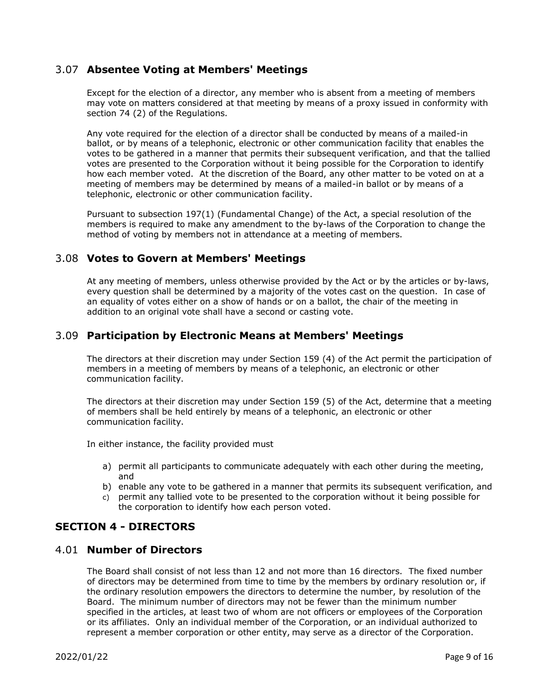#### <span id="page-8-0"></span>3.07 **Absentee Voting at Members' Meetings**

Except for the election of a director, any member who is absent from a meeting of members may vote on matters considered at that meeting by means of a proxy issued in conformity with section 74 (2) of the Regulations.

Any vote required for the election of a director shall be conducted by means of a mailed-in ballot, or by means of a telephonic, electronic or other communication facility that enables the votes to be gathered in a manner that permits their subsequent verification, and that the tallied votes are presented to the Corporation without it being possible for the Corporation to identify how each member voted. At the discretion of the Board, any other matter to be voted on at a meeting of members may be determined by means of a mailed-in ballot or by means of a telephonic, electronic or other communication facility.

Pursuant to subsection 197(1) (Fundamental Change) of the Act, a special resolution of the members is required to make any amendment to the by-laws of the Corporation to change the method of voting by members not in attendance at a meeting of members.

#### <span id="page-8-1"></span>3.08 **Votes to Govern at Members' Meetings**

At any meeting of members, unless otherwise provided by the Act or by the articles or by-laws, every question shall be determined by a majority of the votes cast on the question. In case of an equality of votes either on a show of hands or on a ballot, the chair of the meeting in addition to an original vote shall have a second or casting vote.

#### <span id="page-8-2"></span>3.09 **Participation by Electronic Means at Members' Meetings**

The directors at their discretion may under Section 159 (4) of the Act permit the participation of members in a meeting of members by means of a telephonic, an electronic or other communication facility.

The directors at their discretion may under Section 159 (5) of the Act, determine that a meeting of members shall be held entirely by means of a telephonic, an electronic or other communication facility.

In either instance, the facility provided must

- a) permit all participants to communicate adequately with each other during the meeting, and
- b) enable any vote to be gathered in a manner that permits its subsequent verification, and
- c) permit any tallied vote to be presented to the corporation without it being possible for the corporation to identify how each person voted.

## <span id="page-8-3"></span>**SECTION 4 - DIRECTORS**

#### <span id="page-8-4"></span>4.01 **Number of Directors**

The Board shall consist of not less than 12 and not more than 16 directors. The fixed number of directors may be determined from time to time by the members by ordinary resolution or, if the ordinary resolution empowers the directors to determine the number, by resolution of the Board. The minimum number of directors may not be fewer than the minimum number specified in the articles, at least two of whom are not officers or employees of the Corporation or its affiliates. Only an individual member of the Corporation, or an individual authorized to represent a member corporation or other entity, may serve as a director of the Corporation.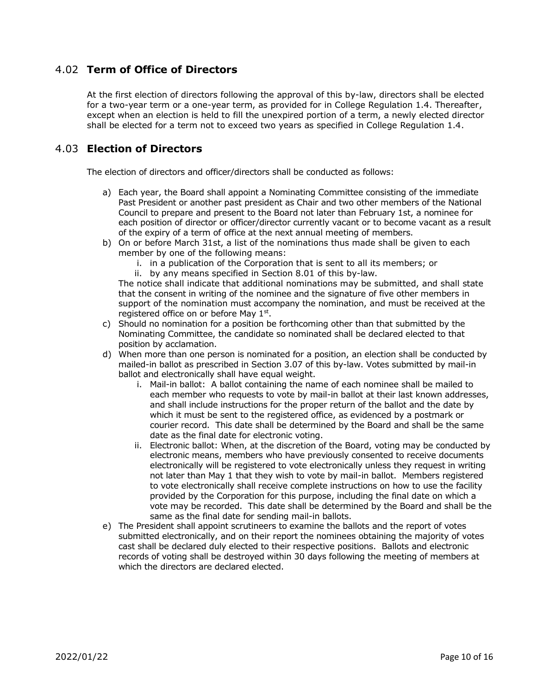## <span id="page-9-0"></span>4.02 **Term of Office of Directors**

At the first election of directors following the approval of this by-law, directors shall be elected for a two-year term or a one-year term, as provided for in College Regulation 1.4. Thereafter, except when an election is held to fill the unexpired portion of a term, a newly elected director shall be elected for a term not to exceed two years as specified in College Regulation 1.4.

## <span id="page-9-1"></span>4.03 **Election of Directors**

The election of directors and officer/directors shall be conducted as follows:

- a) Each year, the Board shall appoint a Nominating Committee consisting of the immediate Past President or another past president as Chair and two other members of the National Council to prepare and present to the Board not later than February 1st, a nominee for each position of director or officer/director currently vacant or to become vacant as a result of the expiry of a term of office at the next annual meeting of members.
- b) On or before March 31st, a list of the nominations thus made shall be given to each member by one of the following means:
	- i. in a publication of the Corporation that is sent to all its members; or
	- ii. by any means specified in Section 8.01 of this by-law.

The notice shall indicate that additional nominations may be submitted, and shall state that the consent in writing of the nominee and the signature of five other members in support of the nomination must accompany the nomination, and must be received at the registered office on or before May  $1<sup>st</sup>$ .

- c) Should no nomination for a position be forthcoming other than that submitted by the Nominating Committee, the candidate so nominated shall be declared elected to that position by acclamation.
- d) When more than one person is nominated for a position, an election shall be conducted by mailed-in ballot as prescribed in Section 3.07 of this by-law. Votes submitted by mail-in ballot and electronically shall have equal weight.
	- i. Mail-in ballot: A ballot containing the name of each nominee shall be mailed to each member who requests to vote by mail-in ballot at their last known addresses, and shall include instructions for the proper return of the ballot and the date by which it must be sent to the registered office, as evidenced by a postmark or courier record. This date shall be determined by the Board and shall be the same date as the final date for electronic voting.
	- ii. Electronic ballot: When, at the discretion of the Board, voting may be conducted by electronic means, members who have previously consented to receive documents electronically will be registered to vote electronically unless they request in writing not later than May 1 that they wish to vote by mail-in ballot. Members registered to vote electronically shall receive complete instructions on how to use the facility provided by the Corporation for this purpose, including the final date on which a vote may be recorded. This date shall be determined by the Board and shall be the same as the final date for sending mail-in ballots.
- e) The President shall appoint scrutineers to examine the ballots and the report of votes submitted electronically, and on their report the nominees obtaining the majority of votes cast shall be declared duly elected to their respective positions. Ballots and electronic records of voting shall be destroyed within 30 days following the meeting of members at which the directors are declared elected.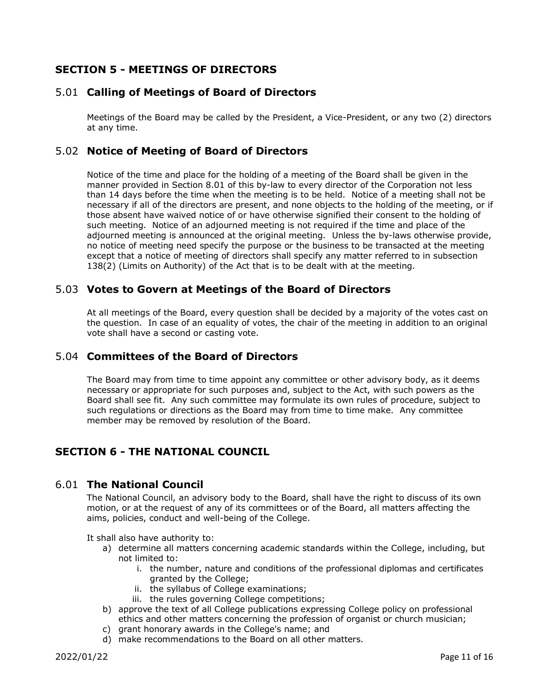## <span id="page-10-0"></span>**SECTION 5 - MEETINGS OF DIRECTORS**

## <span id="page-10-1"></span>5.01 **Calling of Meetings of Board of Directors**

Meetings of the Board may be called by the President, a Vice-President, or any two (2) directors at any time.

## <span id="page-10-2"></span>5.02 **Notice of Meeting of Board of Directors**

Notice of the time and place for the holding of a meeting of the Board shall be given in the manner provided in Section 8.01 of this by-law to every director of the Corporation not less than 14 days before the time when the meeting is to be held. Notice of a meeting shall not be necessary if all of the directors are present, and none objects to the holding of the meeting, or if those absent have waived notice of or have otherwise signified their consent to the holding of such meeting. Notice of an adjourned meeting is not required if the time and place of the adjourned meeting is announced at the original meeting. Unless the by-laws otherwise provide, no notice of meeting need specify the purpose or the business to be transacted at the meeting except that a notice of meeting of directors shall specify any matter referred to in subsection 138(2) (Limits on Authority) of the Act that is to be dealt with at the meeting.

#### <span id="page-10-3"></span>5.03 **Votes to Govern at Meetings of the Board of Directors**

At all meetings of the Board, every question shall be decided by a majority of the votes cast on the question. In case of an equality of votes, the chair of the meeting in addition to an original vote shall have a second or casting vote.

## <span id="page-10-4"></span>5.04 **Committees of the Board of Directors**

The Board may from time to time appoint any committee or other advisory body, as it deems necessary or appropriate for such purposes and, subject to the Act, with such powers as the Board shall see fit. Any such committee may formulate its own rules of procedure, subject to such regulations or directions as the Board may from time to time make. Any committee member may be removed by resolution of the Board.

## <span id="page-10-5"></span>**SECTION 6 - THE NATIONAL COUNCIL**

#### <span id="page-10-6"></span>6.01 **The National Council**

The National Council, an advisory body to the Board, shall have the right to discuss of its own motion, or at the request of any of its committees or of the Board, all matters affecting the aims, policies, conduct and well-being of the College.

It shall also have authority to:

- a) determine all matters concerning academic standards within the College, including, but not limited to:
	- i. the number, nature and conditions of the professional diplomas and certificates granted by the College;
	- ii. the syllabus of College examinations;
	- iii. the rules governing College competitions;
- b) approve the text of all College publications expressing College policy on professional ethics and other matters concerning the profession of organist or church musician;
- c) grant honorary awards in the College's name; and
- d) make recommendations to the Board on all other matters.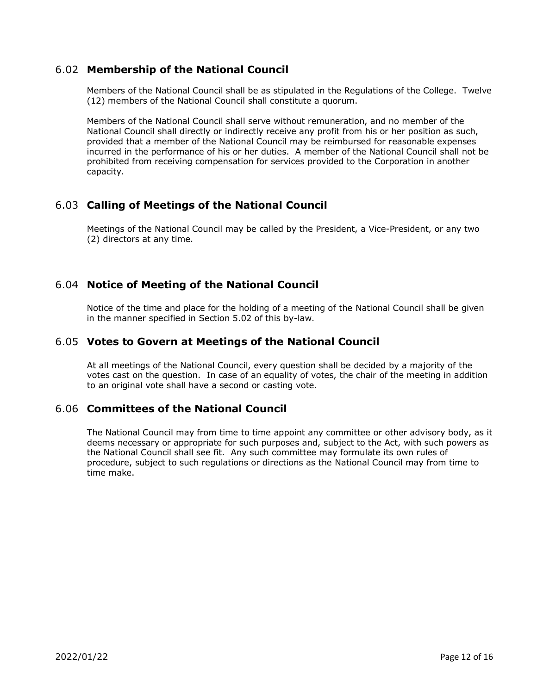## <span id="page-11-0"></span>6.02 **Membership of the National Council**

Members of the National Council shall be as stipulated in the Regulations of the College. Twelve (12) members of the National Council shall constitute a quorum.

Members of the National Council shall serve without remuneration, and no member of the National Council shall directly or indirectly receive any profit from his or her position as such, provided that a member of the National Council may be reimbursed for reasonable expenses incurred in the performance of his or her duties. A member of the National Council shall not be prohibited from receiving compensation for services provided to the Corporation in another capacity.

## <span id="page-11-1"></span>6.03 **Calling of Meetings of the National Council**

Meetings of the National Council may be called by the President, a Vice-President, or any two (2) directors at any time.

## <span id="page-11-2"></span>6.04 **Notice of Meeting of the National Council**

Notice of the time and place for the holding of a meeting of the National Council shall be given in the manner specified in Section 5.02 of this by-law.

#### <span id="page-11-3"></span>6.05 **Votes to Govern at Meetings of the National Council**

At all meetings of the National Council, every question shall be decided by a majority of the votes cast on the question. In case of an equality of votes, the chair of the meeting in addition to an original vote shall have a second or casting vote.

## <span id="page-11-4"></span>6.06 **Committees of the National Council**

<span id="page-11-5"></span>The National Council may from time to time appoint any committee or other advisory body, as it deems necessary or appropriate for such purposes and, subject to the Act, with such powers as the National Council shall see fit. Any such committee may formulate its own rules of procedure, subject to such regulations or directions as the National Council may from time to time make.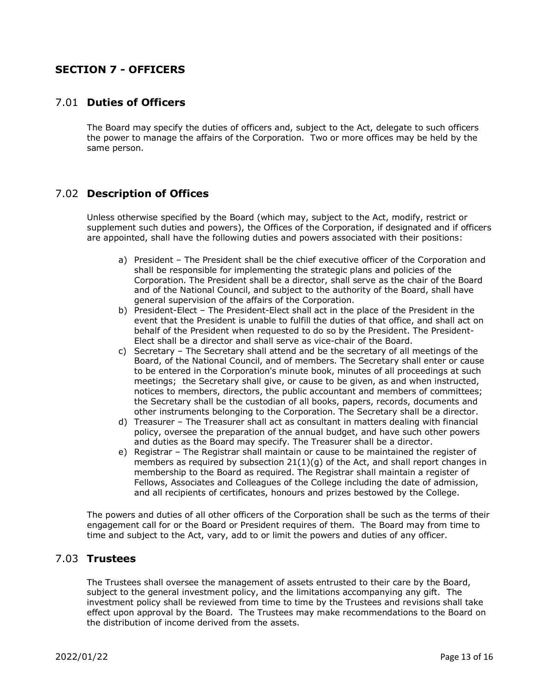## **SECTION 7 - OFFICERS**

#### <span id="page-12-0"></span>7.01 **Duties of Officers**

The Board may specify the duties of officers and, subject to the Act, delegate to such officers the power to manage the affairs of the Corporation. Two or more offices may be held by the same person.

## <span id="page-12-1"></span>7.02 **Description of Offices**

Unless otherwise specified by the Board (which may, subject to the Act, modify, restrict or supplement such duties and powers), the Offices of the Corporation, if designated and if officers are appointed, shall have the following duties and powers associated with their positions:

- a) President The President shall be the chief executive officer of the Corporation and shall be responsible for implementing the strategic plans and policies of the Corporation. The President shall be a director, shall serve as the chair of the Board and of the National Council, and subject to the authority of the Board, shall have general supervision of the affairs of the Corporation.
- b) President-Elect The President-Elect shall act in the place of the President in the event that the President is unable to fulfill the duties of that office, and shall act on behalf of the President when requested to do so by the President. The President-Elect shall be a director and shall serve as vice-chair of the Board.
- c) Secretary The Secretary shall attend and be the secretary of all meetings of the Board, of the National Council, and of members. The Secretary shall enter or cause to be entered in the Corporation's minute book, minutes of all proceedings at such meetings; the Secretary shall give, or cause to be given, as and when instructed, notices to members, directors, the public accountant and members of committees; the Secretary shall be the custodian of all books, papers, records, documents and other instruments belonging to the Corporation. The Secretary shall be a director.
- d) Treasurer The Treasurer shall act as consultant in matters dealing with financial policy, oversee the preparation of the annual budget, and have such other powers and duties as the Board may specify. The Treasurer shall be a director.
- e) Registrar The Registrar shall maintain or cause to be maintained the register of members as required by subsection  $21(1)(q)$  of the Act, and shall report changes in membership to the Board as required. The Registrar shall maintain a register of Fellows, Associates and Colleagues of the College including the date of admission, and all recipients of certificates, honours and prizes bestowed by the College.

The powers and duties of all other officers of the Corporation shall be such as the terms of their engagement call for or the Board or President requires of them. The Board may from time to time and subject to the Act, vary, add to or limit the powers and duties of any officer.

#### <span id="page-12-2"></span>7.03 **Trustees**

The Trustees shall oversee the management of assets entrusted to their care by the Board, subject to the general investment policy, and the limitations accompanying any gift. The investment policy shall be reviewed from time to time by the Trustees and revisions shall take effect upon approval by the Board. The Trustees may make recommendations to the Board on the distribution of income derived from the assets.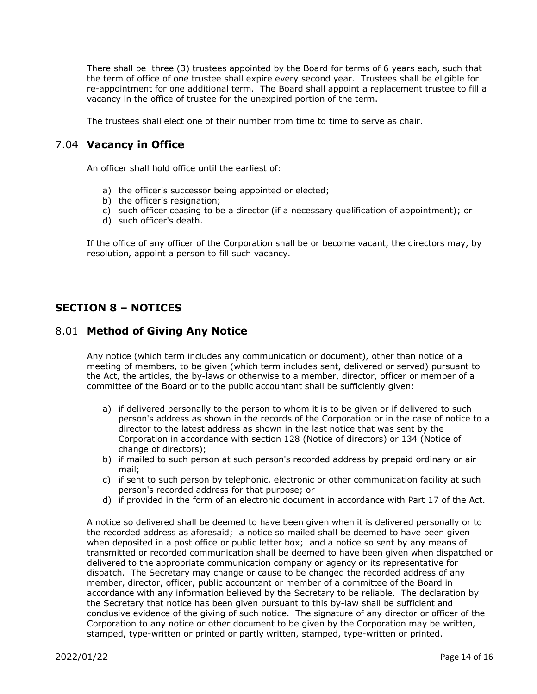There shall be three (3) trustees appointed by the Board for terms of 6 years each, such that the term of office of one trustee shall expire every second year. Trustees shall be eligible for re-appointment for one additional term. The Board shall appoint a replacement trustee to fill a vacancy in the office of trustee for the unexpired portion of the term.

The trustees shall elect one of their number from time to time to serve as chair.

#### <span id="page-13-0"></span>7.04 **Vacancy in Office**

An officer shall hold office until the earliest of:

- a) the officer's successor being appointed or elected;
- b) the officer's resignation;
- c) such officer ceasing to be a director (if a necessary qualification of appointment); or
- d) such officer's death.

If the office of any officer of the Corporation shall be or become vacant, the directors may, by resolution, appoint a person to fill such vacancy.

## <span id="page-13-1"></span>**SECTION 8 – NOTICES**

#### <span id="page-13-2"></span>8.01 **Method of Giving Any Notice**

Any notice (which term includes any communication or document), other than notice of a meeting of members, to be given (which term includes sent, delivered or served) pursuant to the Act, the articles, the by-laws or otherwise to a member, director, officer or member of a committee of the Board or to the public accountant shall be sufficiently given:

- a) if delivered personally to the person to whom it is to be given or if delivered to such person's address as shown in the records of the Corporation or in the case of notice to a director to the latest address as shown in the last notice that was sent by the Corporation in accordance with section 128 (Notice of directors) or 134 (Notice of change of directors);
- b) if mailed to such person at such person's recorded address by prepaid ordinary or air mail;
- c) if sent to such person by telephonic, electronic or other communication facility at such person's recorded address for that purpose; or
- d) if provided in the form of an electronic document in accordance with Part 17 of the Act.

A notice so delivered shall be deemed to have been given when it is delivered personally or to the recorded address as aforesaid; a notice so mailed shall be deemed to have been given when deposited in a post office or public letter box; and a notice so sent by any means of transmitted or recorded communication shall be deemed to have been given when dispatched or delivered to the appropriate communication company or agency or its representative for dispatch. The Secretary may change or cause to be changed the recorded address of any member, director, officer, public accountant or member of a committee of the Board in accordance with any information believed by the Secretary to be reliable. The declaration by the Secretary that notice has been given pursuant to this by-law shall be sufficient and conclusive evidence of the giving of such notice. The signature of any director or officer of the Corporation to any notice or other document to be given by the Corporation may be written, stamped, type-written or printed or partly written, stamped, type-written or printed.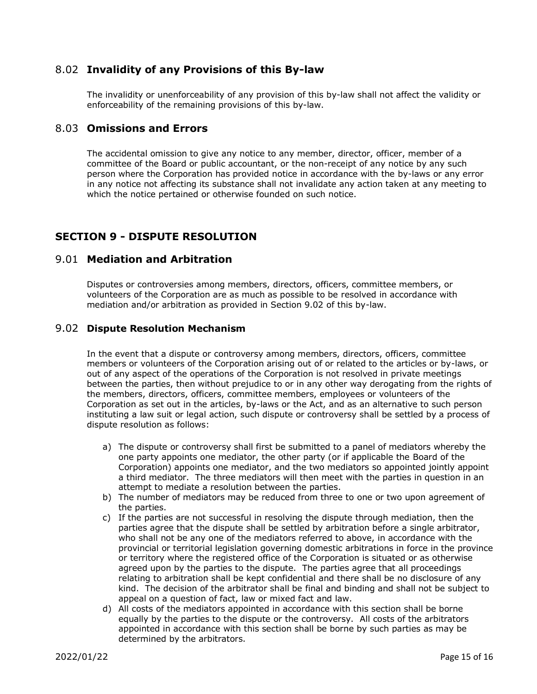#### <span id="page-14-0"></span>8.02 **Invalidity of any Provisions of this By-law**

The invalidity or unenforceability of any provision of this by-law shall not affect the validity or enforceability of the remaining provisions of this by-law.

#### <span id="page-14-1"></span>8.03 **Omissions and Errors**

The accidental omission to give any notice to any member, director, officer, member of a committee of the Board or public accountant, or the non-receipt of any notice by any such person where the Corporation has provided notice in accordance with the by-laws or any error in any notice not affecting its substance shall not invalidate any action taken at any meeting to which the notice pertained or otherwise founded on such notice.

## <span id="page-14-2"></span>**SECTION 9 - DISPUTE RESOLUTION**

#### <span id="page-14-3"></span>9.01 **Mediation and Arbitration**

Disputes or controversies among members, directors, officers, committee members, or volunteers of the Corporation are as much as possible to be resolved in accordance with mediation and/or arbitration as provided in Section 9.02 of this by-law.

#### <span id="page-14-4"></span>9.02 **Dispute Resolution Mechanism**

In the event that a dispute or controversy among members, directors, officers, committee members or volunteers of the Corporation arising out of or related to the articles or by-laws, or out of any aspect of the operations of the Corporation is not resolved in private meetings between the parties, then without prejudice to or in any other way derogating from the rights of the members, directors, officers, committee members, employees or volunteers of the Corporation as set out in the articles, by-laws or the Act, and as an alternative to such person instituting a law suit or legal action, such dispute or controversy shall be settled by a process of dispute resolution as follows:

- a) The dispute or controversy shall first be submitted to a panel of mediators whereby the one party appoints one mediator, the other party (or if applicable the Board of the Corporation) appoints one mediator, and the two mediators so appointed jointly appoint a third mediator. The three mediators will then meet with the parties in question in an attempt to mediate a resolution between the parties.
- b) The number of mediators may be reduced from three to one or two upon agreement of the parties.
- c) If the parties are not successful in resolving the dispute through mediation, then the parties agree that the dispute shall be settled by arbitration before a single arbitrator, who shall not be any one of the mediators referred to above, in accordance with the provincial or territorial legislation governing domestic arbitrations in force in the province or territory where the registered office of the Corporation is situated or as otherwise agreed upon by the parties to the dispute. The parties agree that all proceedings relating to arbitration shall be kept confidential and there shall be no disclosure of any kind. The decision of the arbitrator shall be final and binding and shall not be subject to appeal on a question of fact, law or mixed fact and law.
- d) All costs of the mediators appointed in accordance with this section shall be borne equally by the parties to the dispute or the controversy. All costs of the arbitrators appointed in accordance with this section shall be borne by such parties as may be determined by the arbitrators.